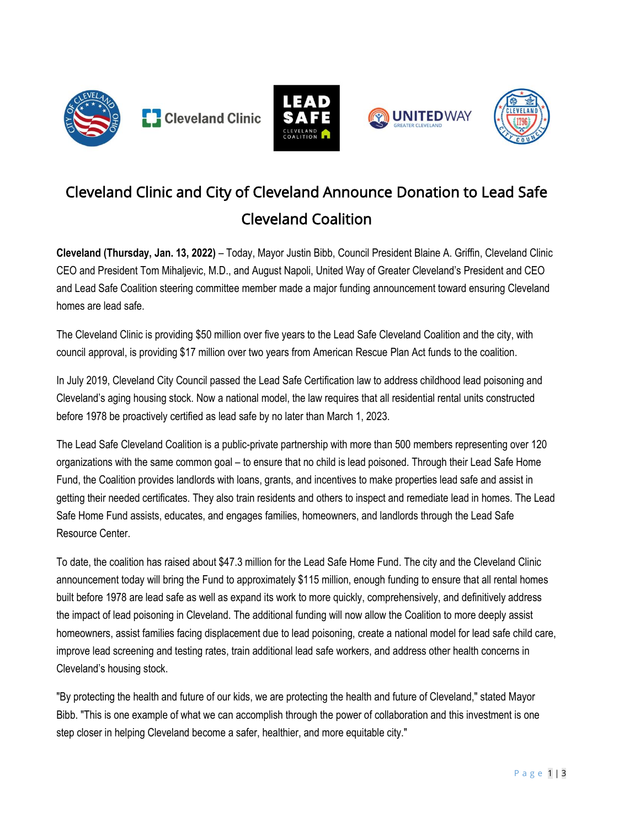









## Cleveland Clinic and City of Cleveland Announce Donation to Lead Safe Cleveland Coalition

**Cleveland (Thursday, Jan. 13, 2022)** – Today, Mayor Justin Bibb, Council President Blaine A. Griffin, Cleveland Clinic CEO and President Tom Mihaljevic, M.D., and August Napoli, United Way of Greater Cleveland's President and CEO and Lead Safe Coalition steering committee member made a major funding announcement toward ensuring Cleveland homes are lead safe.

The Cleveland Clinic is providing \$50 million over five years to the Lead Safe Cleveland Coalition and the city, with council approval, is providing \$17 million over two years from American Rescue Plan Act funds to the coalition.

In July 2019, Cleveland City Council passed the Lead Safe Certification law to address childhood lead poisoning and Cleveland's aging housing stock. Now a national model, the law requires that all residential rental units constructed before 1978 be proactively certified as lead safe by no later than March 1, 2023.

The Lead Safe Cleveland Coalition is a public-private partnership with more than 500 members representing over 120 organizations with the same common goal – to ensure that no child is lead poisoned. Through their Lead Safe Home Fund, the Coalition provides landlords with loans, grants, and incentives to make properties lead safe and assist in getting their needed certificates. They also train residents and others to inspect and remediate lead in homes. The Lead Safe Home Fund assists, educates, and engages families, homeowners, and landlords through the Lead Safe Resource Center.

To date, the coalition has raised about \$47.3 million for the Lead Safe Home Fund. The city and the Cleveland Clinic announcement today will bring the Fund to approximately \$115 million, enough funding to ensure that all rental homes built before 1978 are lead safe as well as expand its work to more quickly, comprehensively, and definitively address the impact of lead poisoning in Cleveland. The additional funding will now allow the Coalition to more deeply assist homeowners, assist families facing displacement due to lead poisoning, create a national model for lead safe child care, improve lead screening and testing rates, train additional lead safe workers, and address other health concerns in Cleveland's housing stock.

"By protecting the health and future of our kids, we are protecting the health and future of Cleveland," stated Mayor Bibb. "This is one example of what we can accomplish through the power of collaboration and this investment is one step closer in helping Cleveland become a safer, healthier, and more equitable city."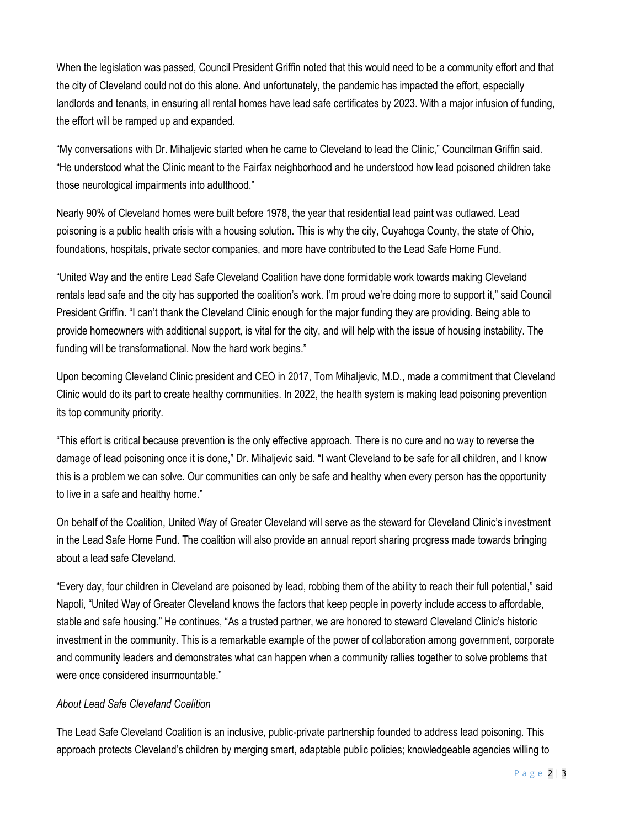When the legislation was passed, Council President Griffin noted that this would need to be a community effort and that the city of Cleveland could not do this alone. And unfortunately, the pandemic has impacted the effort, especially landlords and tenants, in ensuring all rental homes have lead safe certificates by 2023. With a major infusion of funding, the effort will be ramped up and expanded.

"My conversations with Dr. Mihaljevic started when he came to Cleveland to lead the Clinic," Councilman Griffin said. "He understood what the Clinic meant to the Fairfax neighborhood and he understood how lead poisoned children take those neurological impairments into adulthood."

Nearly 90% of Cleveland homes were built before 1978, the year that residential lead paint was outlawed. Lead poisoning is a public health crisis with a housing solution. This is why the city, Cuyahoga County, the state of Ohio, foundations, hospitals, private sector companies, and more have contributed to the Lead Safe Home Fund.

"United Way and the entire Lead Safe Cleveland Coalition have done formidable work towards making Cleveland rentals lead safe and the city has supported the coalition's work. I'm proud we're doing more to support it," said Council President Griffin. "I can't thank the Cleveland Clinic enough for the major funding they are providing. Being able to provide homeowners with additional support, is vital for the city, and will help with the issue of housing instability. The funding will be transformational. Now the hard work begins."

Upon becoming Cleveland Clinic president and CEO in 2017, Tom Mihaljevic, M.D., made a commitment that Cleveland Clinic would do its part to create healthy communities. In 2022, the health system is making lead poisoning prevention its top community priority.

"This effort is critical because prevention is the only effective approach. There is no cure and no way to reverse the damage of lead poisoning once it is done," Dr. Mihaljevic said. "I want Cleveland to be safe for all children, and I know this is a problem we can solve. Our communities can only be safe and healthy when every person has the opportunity to live in a safe and healthy home."

On behalf of the Coalition, United Way of Greater Cleveland will serve as the steward for Cleveland Clinic's investment in the Lead Safe Home Fund. The coalition will also provide an annual report sharing progress made towards bringing about a lead safe Cleveland.

"Every day, four children in Cleveland are poisoned by lead, robbing them of the ability to reach their full potential," said Napoli, "United Way of Greater Cleveland knows the factors that keep people in poverty include access to affordable, stable and safe housing." He continues, "As a trusted partner, we are honored to steward Cleveland Clinic's historic investment in the community. This is a remarkable example of the power of collaboration among government, corporate and community leaders and demonstrates what can happen when a community rallies together to solve problems that were once considered insurmountable."

## *About Lead Safe Cleveland Coalition*

The Lead Safe Cleveland Coalition is an inclusive, public-private partnership founded to address lead poisoning. This approach protects Cleveland's children by merging smart, adaptable public policies; knowledgeable agencies willing to